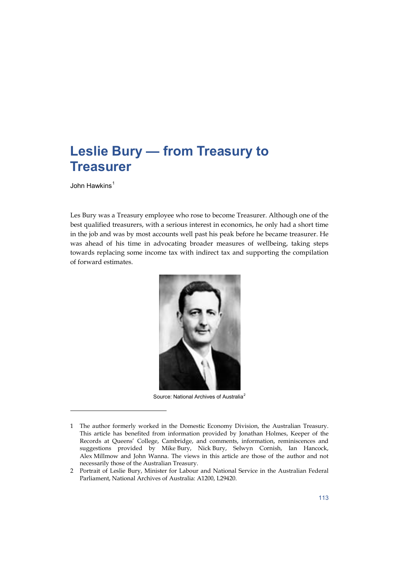John Hawkins<sup>[1](#page-0-0)</sup>

l

Les Bury was a Treasury employee who rose to become Treasurer. Although one of the best qualified treasurers, with a serious interest in economics, he only had a short time in the job and was by most accounts well past his peak before he became treasurer. He was ahead of his time in advocating broader measures of wellbeing, taking steps towards replacing some income tax with indirect tax and supporting the compilation of forward estimates.



Source: National Archives of Australia<sup>[2](#page-0-1)</sup>

<span id="page-0-0"></span><sup>1</sup> The author formerly worked in the Domestic Economy Division, the Australian Treasury. This article has benefited from information provided by Jonathan Holmes, Keeper of the Records at Queens' College, Cambridge, and comments, information, reminiscences and suggestions provided by Mike Bury, Nick Bury, Selwyn Cornish, Ian Hancock, Alex Millmow and John Wanna. The views in this article are those of the author and not necessarily those of the Australian Treasury.

<span id="page-0-1"></span><sup>2</sup> Portrait of Leslie Bury, Minister for Labour and National Service in the Australian Federal Parliament, National Archives of Australia: A1200, L29420.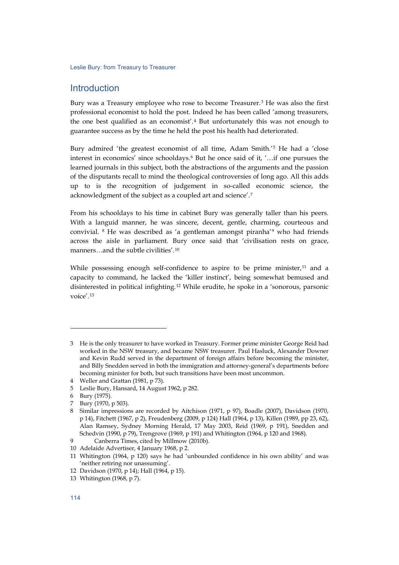## **Introduction**

Bury was a Treasury employee who rose to become Treasurer.[3](#page-1-0) He was also the first professional economist to hold the post. Indeed he has been called 'among treasurers, the one best qualified as an economist'.[4](#page-1-1) But unfortunately this was not enough to guarantee success as by the time he held the post his health had deteriorated.

Bury admired 'the greatest economist of all time, Adam Smith.'[5](#page-1-2) He had a 'close interest in economics' since schooldays.[6](#page-1-3) But he once said of it, '…if one pursues the learned journals in this subject, both the abstractions of the arguments and the passion of the disputants recall to mind the theological controversies of long ago. All this adds up to is the recognition of judgement in so-called economic science, the acknowledgment of the subject as a coupled art and science'.[7](#page-1-4)

From his schooldays to his time in cabinet Bury was generally taller than his peers. With a languid manner, he was sincere, decent, gentle, charming, courteous and convivial. [8](#page-1-5) He was described as 'a gentleman amongst piranha'[9](#page-1-6) who had friends across the aisle in parliament. Bury once said that 'civilisation rests on grace, manners…and the subtle civilities'.[10](#page-1-7)

While possessing enough self-confidence to aspire to be prime minister, $11$  and a capacity to command, he lacked the 'killer instinct', being somewhat bemused and disinterested in political infighting.[12](#page-1-9) While erudite, he spoke in a 'sonorous, parsonic voice'.[13](#page-1-10)

l

<span id="page-1-0"></span><sup>3</sup> He is the only treasurer to have worked in Treasury. Former prime minister George Reid had worked in the NSW treasury, and became NSW treasurer. Paul Hasluck, Alexander Downer and Kevin Rudd served in the department of foreign affairs before becoming the minister, and Billy Snedden served in both the immigration and attorney-general's departments before becoming minister for both, but such transitions have been most uncommon.

<span id="page-1-1"></span><sup>4</sup> Weller and Grattan (1981, p 73).

<span id="page-1-2"></span><sup>5</sup> Leslie Bury, Hansard, 14 August 1962, p 282.

<span id="page-1-3"></span><sup>6</sup> Bury (1975).

<span id="page-1-4"></span><sup>7</sup> Bury (1970, p 503).

<span id="page-1-5"></span><sup>8</sup> Similar impressions are recorded by Aitchison (1971, p 97), Boadle (2007), Davidson (1970, p 14), Fitchett (1967, p 2), Freudenberg (2009, p 124) Hall (1964, p 13), Killen (1989, pp 23, 62), Alan Ramsey, Sydney Morning Herald, 17 May 2003, Reid (1969, p 191), Snedden and Schedvin (1990, p 79), Trengrove (1969, p 191) and Whitington (1964, p 120 and 1968).

<span id="page-1-6"></span><sup>9</sup> Canberra Times, cited by Millmow (2010b).

<span id="page-1-7"></span><sup>10</sup> Adelaide Advertiser, 4 January 1968, p 2.

<span id="page-1-8"></span><sup>11</sup> Whitington (1964, p 120) says he had 'unbounded confidence in his own ability' and was 'neither retiring nor unassuming'.

<span id="page-1-9"></span><sup>12</sup> Davidson (1970, p 14); Hall (1964, p 15).

<span id="page-1-10"></span><sup>13</sup> Whitington (1968, p 7).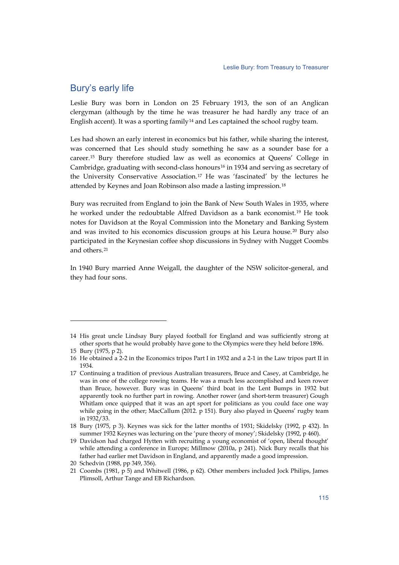### Bury's early life

Leslie Bury was born in London on 25 February 1913, the son of an Anglican clergyman (although by the time he was treasurer he had hardly any trace of an English accent). It was a sporting family<sup>[14](#page-2-0)</sup> and Les captained the school rugby team.

Les had shown an early interest in economics but his father, while sharing the interest, was concerned that Les should study something he saw as a sounder base for a career.[15](#page-2-1) Bury therefore studied law as well as economics at Queens' College in Cambridge, graduating with second-class honours<sup>[16](#page-2-2)</sup> in 1934 and serving as secretary of the University Conservative Association.[17](#page-2-3) He was 'fascinated' by the lectures he attended by Keynes and Joan Robinson also made a lasting impression.[18](#page-2-4)

Bury was recruited from England to join the Bank of New South Wales in 1935, where he worked under the redoubtable Alfred Davidson as a bank economist.[19](#page-2-5) He took notes for Davidson at the Royal Commission into the Monetary and Banking System and was invited to his economics discussion groups at his Leura house.[20](#page-2-6) Bury also participated in the Keynesian coffee shop discussions in Sydney with Nugget Coombs and others.[21](#page-2-7)

In 1940 Bury married Anne Weigall, the daughter of the NSW solicitor-general, and they had four sons.

<span id="page-2-0"></span><sup>14</sup> His great uncle Lindsay Bury played football for England and was sufficiently strong at other sports that he would probably have gone to the Olympics were they held before 1896.

<span id="page-2-1"></span><sup>15</sup> Bury (1975, p 2).

<span id="page-2-2"></span><sup>16</sup> He obtained a 2-2 in the Economics tripos Part I in 1932 and a 2-1 in the Law tripos part II in 1934.

<span id="page-2-3"></span><sup>17</sup> Continuing a tradition of previous Australian treasurers, Bruce and Casey, at Cambridge, he was in one of the college rowing teams. He was a much less accomplished and keen rower than Bruce, however. Bury was in Queens' third boat in the Lent Bumps in 1932 but apparently took no further part in rowing. Another rower (and short-term treasurer) Gough Whitlam once quipped that it was an apt sport for politicians as you could face one way while going in the other; MacCallum (2012. p 151). Bury also played in Queens' rugby team in 1932/33.

<span id="page-2-4"></span><sup>18</sup> Bury (1975, p 3). Keynes was sick for the latter months of 1931; Skidelsky (1992, p 432). In summer 1932 Keynes was lecturing on the 'pure theory of money'; Skidelsky (1992, p 460).

<span id="page-2-5"></span><sup>19</sup> Davidson had charged Hytten with recruiting a young economist of 'open, liberal thought' while attending a conference in Europe; Millmow (2010a, p 241). Nick Bury recalls that his father had earlier met Davidson in England, and apparently made a good impression.

<span id="page-2-6"></span><sup>20</sup> Schedvin (1988, pp 349, 356).

<span id="page-2-7"></span><sup>21</sup> Coombs (1981, p 5) and Whitwell (1986, p 62). Other members included Jock Philips, James Plimsoll, Arthur Tange and EB Richardson.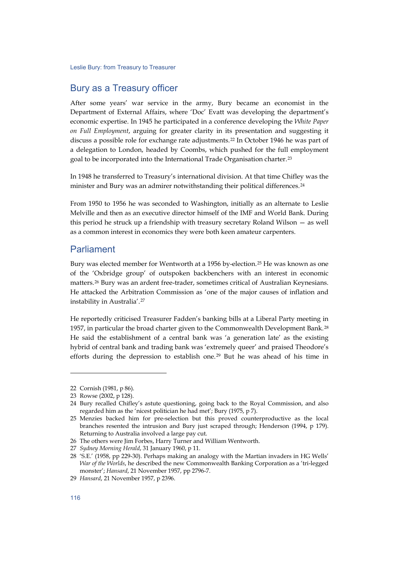#### Bury as a Treasury officer

After some years' war service in the army, Bury became an economist in the Department of External Affairs, where 'Doc' Evatt was developing the department's economic expertise. In 1945 he participated in a conference developing the *White Paper on Full Employment*, arguing for greater clarity in its presentation and suggesting it discuss a possible role for exchange rate adjustments.[22](#page-3-0) In October 1946 he was part of a delegation to London, headed by Coombs, which pushed for the full employment goal to be incorporated into the International Trade Organisation charter.<sup>[23](#page-3-1)</sup>

In 1948 he transferred to Treasury's international division. At that time Chifley was the minister and Bury was an admirer notwithstanding their political differences.<sup>[24](#page-3-2)</sup>

From 1950 to 1956 he was seconded to Washington, initially as an alternate to Leslie Melville and then as an executive director himself of the IMF and World Bank. During this period he struck up a friendship with treasury secretary Roland Wilson — as well as a common interest in economics they were both keen amateur carpenters.

#### Parliament

Bury was elected member for Wentworth at a 1956 by-election.[25](#page-3-3) He was known as one of the 'Oxbridge group' of outspoken backbenchers with an interest in economic matters.[26](#page-3-4) Bury was an ardent free-trader, sometimes critical of Australian Keynesians. He attacked the Arbitration Commission as 'one of the major causes of inflation and instability in Australia'.[27](#page-3-5)

He reportedly criticised Treasurer Fadden's banking bills at a Liberal Party meeting in 1957, in particular the broad charter given to the Commonwealth Development Bank. [28](#page-3-6) He said the establishment of a central bank was 'a generation late' as the existing hybrid of central bank and trading bank was 'extremely queer' and praised Theodore's efforts during the depression to establish one.<sup>[29](#page-3-7)</sup> But he was ahead of his time in

j

<span id="page-3-0"></span><sup>22</sup> Cornish (1981, p 86).

<span id="page-3-1"></span><sup>23</sup> Rowse (2002, p 128).

<span id="page-3-2"></span><sup>24</sup> Bury recalled Chifley's astute questioning, going back to the Royal Commission, and also regarded him as the 'nicest politician he had met'; Bury (1975, p 7).

<span id="page-3-3"></span><sup>25</sup> Menzies backed him for pre-selection but this proved counterproductive as the local branches resented the intrusion and Bury just scraped through; Henderson (1994, p 179). Returning to Australia involved a large pay cut.

<span id="page-3-4"></span><sup>26</sup> The others were Jim Forbes, Harry Turner and William Wentworth.

<span id="page-3-5"></span><sup>27</sup> *Sydney Morning Herald*, 31 January 1960, p 11.

<span id="page-3-6"></span><sup>28</sup> 'S.E.' (1958, pp 229-30). Perhaps making an analogy with the Martian invaders in HG Wells' *War of the Worlds*, he described the new Commonwealth Banking Corporation as a 'tri-legged monster'; *Hansard*, 21 November 1957, pp 2796-7.

<span id="page-3-7"></span><sup>29</sup> *Hansard*, 21 November 1957, p 2396.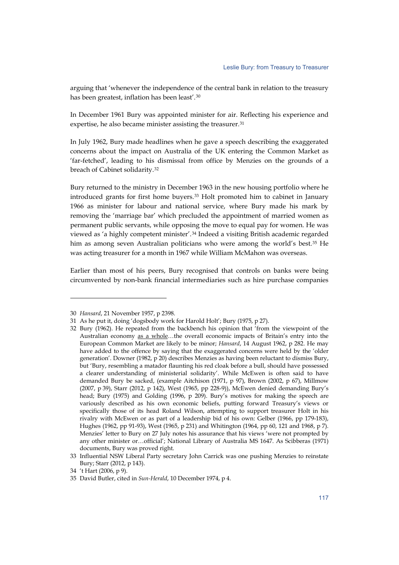arguing that 'whenever the independence of the central bank in relation to the treasury has been greatest, inflation has been least'.[30](#page-4-0)

In December 1961 Bury was appointed minister for air. Reflecting his experience and expertise, he also became minister assisting the treasurer.<sup>[31](#page-4-1)</sup>

In July 1962, Bury made headlines when he gave a speech describing the exaggerated concerns about the impact on Australia of the UK entering the Common Market as 'far-fetched', leading to his dismissal from office by Menzies on the grounds of a breach of Cabinet solidarity.[32](#page-4-2)

Bury returned to the ministry in December 1963 in the new housing portfolio where he introduced grants for first home buyers.[33](#page-4-3) Holt promoted him to cabinet in January 1966 as minister for labour and national service, where Bury made his mark by removing the 'marriage bar' which precluded the appointment of married women as permanent public servants, while opposing the move to equal pay for women. He was viewed as 'a highly competent minister'.[34](#page-4-4) Indeed a visiting British academic regarded him as among seven Australian politicians who were among the world's best.<sup>[35](#page-4-5)</sup> He was acting treasurer for a month in 1967 while William McMahon was overseas.

Earlier than most of his peers, Bury recognised that controls on banks were being circumvented by non-bank financial intermediaries such as hire purchase companies

<span id="page-4-0"></span><sup>30</sup> *Hansard*, 21 November 1957, p 2398.

<sup>31</sup> As he put it, doing 'dogsbody work for Harold Holt'; Bury (1975, p 27).

<span id="page-4-2"></span><span id="page-4-1"></span><sup>32</sup> Bury (1962). He repeated from the backbench his opinion that 'from the viewpoint of the Australian economy as a whole...the overall economic impacts of Britain's entry into the European Common Market are likely to be minor; *Hansard*, 14 August 1962, p 282. He may have added to the offence by saying that the exaggerated concerns were held by the 'older generation'. Downer (1982, p 20) describes Menzies as having been reluctant to dismiss Bury, but 'Bury, resembling a matador flaunting his red cloak before a bull, should have possessed a clearer understanding of ministerial solidarity'. While McEwen is often said to have demanded Bury be sacked, (example Aitchison (1971, p 97), Brown (2002, p 67), Millmow (2007, p 39), Starr (2012, p 142), West (1965, pp 228-9)), McEwen denied demanding Bury's head; Bury (1975) and Golding (1996, p 209). Bury's motives for making the speech are variously described as his own economic beliefs, putting forward Treasury's views or specifically those of its head Roland Wilson, attempting to support treasurer Holt in his rivalry with McEwen or as part of a leadership bid of his own: Gelber (1966, pp 179-183), Hughes (1962, pp 91-93), West (1965, p 231) and Whitington (1964, pp 60, 121 and 1968, p 7). Menzies' letter to Bury on 27 July notes his assurance that his views 'were not prompted by any other minister or…official'; National Library of Australia MS 1647. As Scibberas (1971) documents, Bury was proved right.

<span id="page-4-3"></span><sup>33</sup> Influential NSW Liberal Party secretary John Carrick was one pushing Menzies to reinstate Bury; Starr (2012, p 143).

<sup>34</sup> 't Hart (2006, p 9).

<span id="page-4-5"></span><span id="page-4-4"></span><sup>35</sup> David Butler, cited in *Sun-Herald*, 10 December 1974, p 4.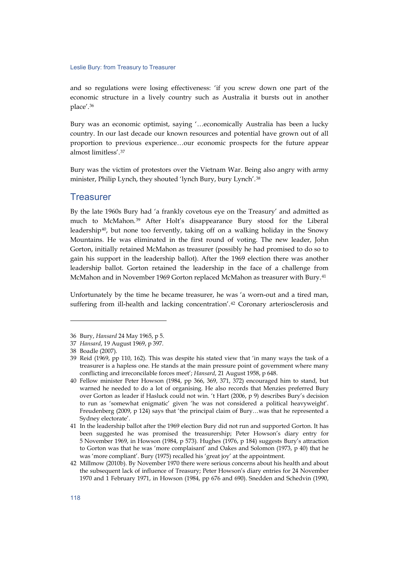and so regulations were losing effectiveness: 'if you screw down one part of the economic structure in a lively country such as Australia it bursts out in another place'.[36](#page-5-0)

Bury was an economic optimist, saying '…economically Australia has been a lucky country. In our last decade our known resources and potential have grown out of all proportion to previous experience…our economic prospects for the future appear almost limitless'.[37](#page-5-1)

Bury was the victim of protestors over the Vietnam War. Being also angry with army minister, Philip Lynch, they shouted 'lynch Bury, bury Lynch'.[38](#page-5-2)

#### **Treasurer**

By the late 1960s Bury had 'a frankly covetous eye on the Treasury' and admitted as much to McMahon.[39](#page-5-3) After Holt's disappearance Bury stood for the Liberal leadership[40](#page-5-4), but none too fervently, taking off on a walking holiday in the Snowy Mountains. He was eliminated in the first round of voting. The new leader, John Gorton, initially retained McMahon as treasurer (possibly he had promised to do so to gain his support in the leadership ballot). After the 1969 election there was another leadership ballot. Gorton retained the leadership in the face of a challenge from McMahon and in November 1969 Gorton replaced McMahon as treasurer with Bury.[41](#page-5-5)

Unfortunately by the time he became treasurer, he was 'a worn-out and a tired man, suffering from ill-health and lacking concentration'.<sup>[42](#page-5-6)</sup> Coronary arteriosclerosis and

<span id="page-5-1"></span><span id="page-5-0"></span><sup>36</sup> Bury, *Hansard* 24 May 1965, p 5.

<sup>37</sup> *Hansard*, 19 August 1969, p 397.

<sup>38</sup> Boadle (2007).

<span id="page-5-3"></span><span id="page-5-2"></span><sup>39</sup> Reid (1969, pp 110, 162). This was despite his stated view that 'in many ways the task of a treasurer is a hapless one. He stands at the main pressure point of government where many conflicting and irreconcilable forces meet'; *Hansard*, 21 August 1958, p 648.

<span id="page-5-4"></span><sup>40</sup> Fellow minister Peter Howson (1984, pp 366, 369, 371, 372) encouraged him to stand, but warned he needed to do a lot of organising. He also records that Menzies preferred Bury over Gorton as leader if Hasluck could not win. 't Hart (2006, p 9) describes Bury's decision to run as 'somewhat enigmatic' given 'he was not considered a political heavyweight'. Freudenberg (2009, p 124) says that 'the principal claim of Bury…was that he represented a Sydney electorate'.

<span id="page-5-5"></span><sup>41</sup> In the leadership ballot after the 1969 election Bury did not run and supported Gorton. It has been suggested he was promised the treasurership; Peter Howson's diary entry for 5 November 1969, in Howson (1984, p 573). Hughes (1976, p 184) suggests Bury's attraction to Gorton was that he was 'more complaisant' and Oakes and Solomon (1973, p 40) that he was 'more compliant'. Bury (1975) recalled his 'great joy' at the appointment.

<span id="page-5-6"></span><sup>42</sup> Millmow (2010b). By November 1970 there were serious concerns about his health and about the subsequent lack of influence of Treasury; Peter Howson's diary entries for 24 November 1970 and 1 February 1971, in Howson (1984, pp 676 and 690). Snedden and Schedvin (1990,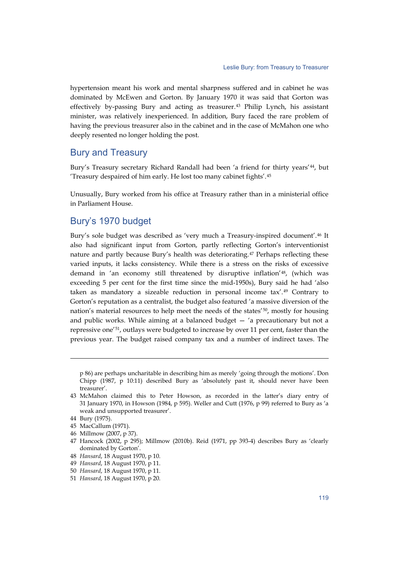hypertension meant his work and mental sharpness suffered and in cabinet he was dominated by McEwen and Gorton. By January 1970 it was said that Gorton was effectively by-passing Bury and acting as treasurer.[43](#page-6-0) Philip Lynch, his assistant minister, was relatively inexperienced. In addition, Bury faced the rare problem of having the previous treasurer also in the cabinet and in the case of McMahon one who deeply resented no longer holding the post.

#### Bury and Treasury

Bury's Treasury secretary Richard Randall had been 'a friend for thirty years'[44](#page-6-1), but 'Treasury despaired of him early. He lost too many cabinet fights'.[45](#page-6-2)

Unusually, Bury worked from his office at Treasury rather than in a ministerial office in Parliament House.

#### Bury's 1970 budget

Bury's sole budget was described as 'very much a Treasury-inspired document'.[46](#page-6-3) It also had significant input from Gorton, partly reflecting Gorton's interventionist nature and partly because Bury's health was deteriorating.[47](#page-6-4) Perhaps reflecting these varied inputs, it lacks consistency. While there is a stress on the risks of excessive demand in 'an economy still threatened by disruptive inflation'[48](#page-6-5), (which was exceeding 5 per cent for the first time since the mid-1950s), Bury said he had 'also taken as mandatory a sizeable reduction in personal income tax'.[49](#page-6-6) Contrary to Gorton's reputation as a centralist, the budget also featured 'a massive diversion of the nation's material resources to help meet the needs of the states'[50](#page-6-7), mostly for housing and public works. While aiming at a balanced budget  $-$  'a precautionary but not a repressive one'[51,](#page-6-8) outlays were budgeted to increase by over 11 per cent, faster than the previous year. The budget raised company tax and a number of indirect taxes. The

p 86) are perhaps uncharitable in describing him as merely 'going through the motions'. Don Chipp (1987, p 10:11) described Bury as 'absolutely past it, should never have been treasurer'.

<span id="page-6-0"></span><sup>43</sup> McMahon claimed this to Peter Howson, as recorded in the latter's diary entry of 31 January 1970, in Howson (1984, p 595). Weller and Cutt (1976, p 99) referred to Bury as 'a weak and unsupported treasurer'.

<span id="page-6-1"></span><sup>44</sup> Bury (1975).

<span id="page-6-2"></span><sup>45</sup> MacCallum (1971).

<span id="page-6-3"></span><sup>46</sup> Millmow (2007, p 37).

<span id="page-6-4"></span><sup>47</sup> Hancock (2002, p 295); Millmow (2010b). Reid (1971, pp 393-4) describes Bury as 'clearly dominated by Gorton'.

<span id="page-6-5"></span><sup>48</sup> *Hansard*, 18 August 1970, p 10.

<span id="page-6-6"></span><sup>49</sup> *Hansard*, 18 August 1970, p 11.

<span id="page-6-7"></span><sup>50</sup> *Hansard*, 18 August 1970, p 11.

<span id="page-6-8"></span><sup>51</sup> *Hansard*, 18 August 1970, p 20.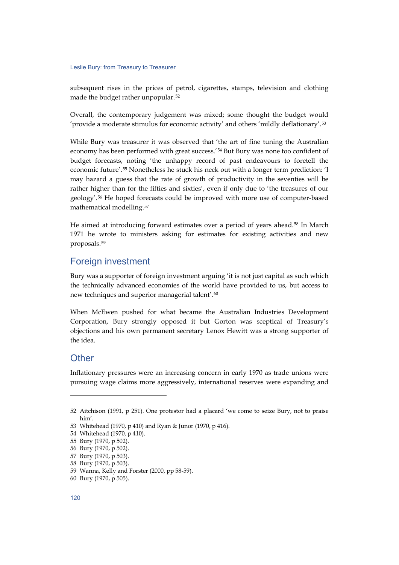subsequent rises in the prices of petrol, cigarettes, stamps, television and clothing made the budget rather unpopular.[52](#page-7-0)

Overall, the contemporary judgement was mixed; some thought the budget would 'provide a moderate stimulus for economic activity' and others 'mildly deflationary'.[53](#page-7-1)

While Bury was treasurer it was observed that 'the art of fine tuning the Australian economy has been performed with great success.'[54](#page-7-2) But Bury was none too confident of budget forecasts, noting 'the unhappy record of past endeavours to foretell the economic future'.[55](#page-7-3) Nonetheless he stuck his neck out with a longer term prediction: 'I may hazard a guess that the rate of growth of productivity in the seventies will be rather higher than for the fifties and sixties', even if only due to 'the treasures of our geology'.[56](#page-7-4) He hoped forecasts could be improved with more use of computer-based mathematical modelling.[57](#page-7-5)

He aimed at introducing forward estimates over a period of years ahead.[58](#page-7-6) In March 1971 he wrote to ministers asking for estimates for existing activities and new proposals.[59](#page-7-7)

## Foreign investment

Bury was a supporter of foreign investment arguing 'it is not just capital as such which the technically advanced economies of the world have provided to us, but access to new techniques and superior managerial talent'.[60](#page-7-8)

When McEwen pushed for what became the Australian Industries Development Corporation, Bury strongly opposed it but Gorton was sceptical of Treasury's objections and his own permanent secretary Lenox Hewitt was a strong supporter of the idea.

#### **Other**

-

Inflationary pressures were an increasing concern in early 1970 as trade unions were pursuing wage claims more aggressively, international reserves were expanding and

<span id="page-7-0"></span><sup>52</sup> Aitchison (1991, p 251). One protestor had a placard 'we come to seize Bury, not to praise him'.

<span id="page-7-2"></span><span id="page-7-1"></span><sup>53</sup> Whitehead (1970, p 410) and Ryan & Junor (1970, p 416).

<sup>54</sup> Whitehead (1970, p 410).

<span id="page-7-3"></span><sup>55</sup> Bury (1970, p 502).

<sup>56</sup> Bury (1970, p 502).

<span id="page-7-6"></span><span id="page-7-5"></span><span id="page-7-4"></span><sup>57</sup> Bury (1970, p 503).

<sup>58</sup> Bury (1970, p 503).

<span id="page-7-7"></span><sup>59</sup> Wanna, Kelly and Forster (2000, pp 58-59).

<span id="page-7-8"></span><sup>60</sup> Bury (1970, p 505).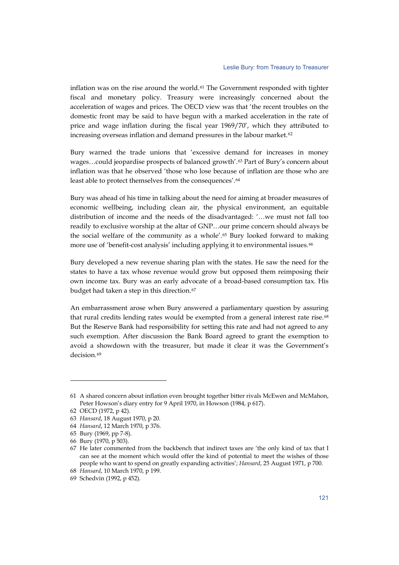inflation was on the rise around the world.<sup>[61](#page-8-0)</sup> The Government responded with tighter fiscal and monetary policy. Treasury were increasingly concerned about the acceleration of wages and prices. The OECD view was that 'the recent troubles on the domestic front may be said to have begun with a marked acceleration in the rate of price and wage inflation during the fiscal year 1969/70', which they attributed to increasing overseas inflation and demand pressures in the labour market. [62](#page-8-1)

Bury warned the trade unions that 'excessive demand for increases in money wages...could jeopardise prospects of balanced growth'.<sup>[63](#page-8-2)</sup> Part of Bury's concern about inflation was that he observed 'those who lose because of inflation are those who are least able to protect themselves from the consequences'.<sup>[64](#page-8-3)</sup>

Bury was ahead of his time in talking about the need for aiming at broader measures of economic wellbeing, including clean air, the physical environment, an equitable distribution of income and the needs of the disadvantaged: '…we must not fall too readily to exclusive worship at the altar of GNP…our prime concern should always be the social welfare of the community as a whole'.<sup>[65](#page-8-4)</sup> Bury looked forward to making more use of 'benefit-cost analysis' including applying it to environmental issues.<sup>[66](#page-8-5)</sup>

Bury developed a new revenue sharing plan with the states. He saw the need for the states to have a tax whose revenue would grow but opposed them reimposing their own income tax. Bury was an early advocate of a broad-based consumption tax. His budget had taken a step in this direction.<sup>[67](#page-8-6)</sup>

An embarrassment arose when Bury answered a parliamentary question by assuring that rural credits lending rates would be exempted from a general interest rate rise.<sup>[68](#page-8-7)</sup> But the Reserve Bank had responsibility for setting this rate and had not agreed to any such exemption. After discussion the Bank Board agreed to grant the exemption to avoid a showdown with the treasurer, but made it clear it was the Government's decision.<sup>[69](#page-8-8)</sup>

<span id="page-8-0"></span><sup>61</sup> A shared concern about inflation even brought together bitter rivals McEwen and McMahon, Peter Howson's diary entry for 9 April 1970, in Howson (1984, p 617).

<span id="page-8-1"></span><sup>62</sup> OECD (1972, p 42).

<span id="page-8-2"></span><sup>63</sup> *Hansard*, 18 August 1970, p 20.

<span id="page-8-3"></span><sup>64</sup> *Hansard*, 12 March 1970, p 376.

<span id="page-8-4"></span><sup>65</sup> Bury (1969, pp 7-8).

<span id="page-8-5"></span><sup>66</sup> Bury (1970, p 503).

<span id="page-8-6"></span><sup>67</sup> He later commented from the backbench that indirect taxes are 'the only kind of tax that I can see at the moment which would offer the kind of potential to meet the wishes of those people who want to spend on greatly expanding activities'; *Hansard*, 25 August 1971, p 700.

<span id="page-8-7"></span><sup>68</sup> *Hansard*, 10 March 1970, p 199.

<span id="page-8-8"></span><sup>69</sup> Schedvin (1992, p 452).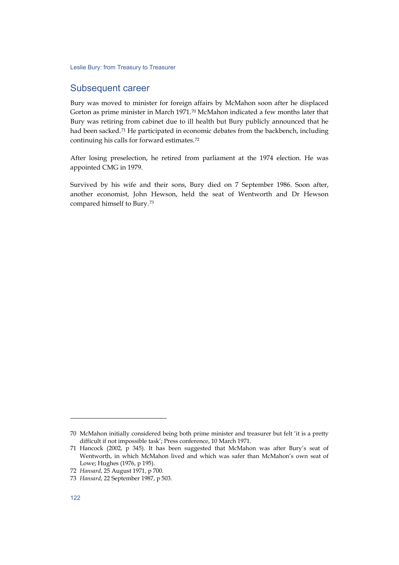#### Subsequent career

Bury was moved to minister for foreign affairs by McMahon soon after he displaced Gorton as prime minister in March 1971.[70](#page-9-0) McMahon indicated a few months later that Bury was retiring from cabinet due to ill health but Bury publicly announced that he had been sacked.<sup>[71](#page-9-1)</sup> He participated in economic debates from the backbench, including continuing his calls for forward estimates.[72](#page-9-2)

After losing preselection, he retired from parliament at the 1974 election. He was appointed CMG in 1979.

Survived by his wife and their sons, Bury died on 7 September 1986. Soon after, another economist, John Hewson, held the seat of Wentworth and Dr Hewson compared himself to Bury.[73](#page-9-3)

j

<span id="page-9-0"></span><sup>70</sup> McMahon initially considered being both prime minister and treasurer but felt 'it is a pretty difficult if not impossible task'; Press conference, 10 March 1971.

<span id="page-9-1"></span><sup>71</sup> Hancock (2002, p 345). It has been suggested that McMahon was after Bury's seat of Wentworth, in which McMahon lived and which was safer than McMahon's own seat of Lowe; Hughes (1976, p 195).

<span id="page-9-2"></span><sup>72</sup> *Hansard*, 25 August 1971, p 700.

<span id="page-9-3"></span><sup>73</sup> *Hansard*, 22 September 1987, p 503.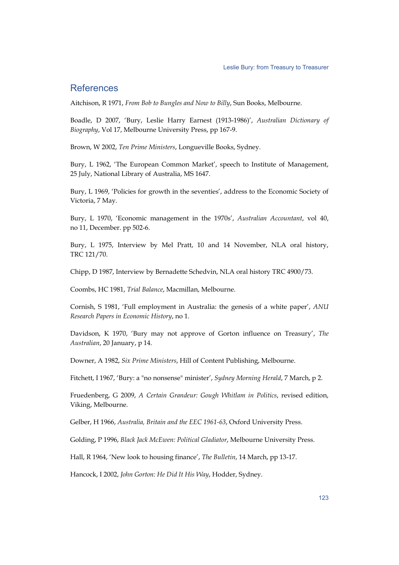## References

Aitchison, R 1971, *From Bob to Bungles and Now to Billy*, Sun Books, Melbourne.

Boadle, D 2007, 'Bury, Leslie Harry Earnest (1913-1986)', *Australian Dictionary of Biography*, Vol 17, Melbourne University Press, pp 167-9.

Brown, W 2002, *Ten Prime Ministers*, Longueville Books, Sydney.

Bury, L 1962, 'The European Common Market', speech to Institute of Management, 25 July, National Library of Australia, MS 1647.

Bury, L 1969, 'Policies for growth in the seventies', address to the Economic Society of Victoria, 7 May.

Bury, L 1970, 'Economic management in the 1970s', *Australian Accountant*, vol 40, no 11, December. pp 502-6.

Bury, L 1975, Interview by Mel Pratt, 10 and 14 November, NLA oral history, TRC 121/70.

Chipp, D 1987, Interview by Bernadette Schedvin, NLA oral history TRC 4900/73.

Coombs, HC 1981, *Trial Balance*, Macmillan, Melbourne.

Cornish, S 1981, 'Full employment in Australia: the genesis of a white paper', *ANU Research Papers in Economic History*, no 1.

Davidson, K 1970, 'Bury may not approve of Gorton influence on Treasury', *The Australian*, 20 January, p 14.

Downer, A 1982, *Six Prime Ministers*, Hill of Content Publishing, Melbourne.

Fitchett, I 1967, 'Bury: a "no nonsense" minister', *Sydney Morning Herald*, 7 March, p 2.

Fruedenberg, G 2009, *A Certain Grandeur: Gough Whitlam in Politics*, revised edition, Viking, Melbourne.

Gelber, H 1966, *Australia, Britain and the EEC 1961-63*, Oxford University Press.

Golding, P 1996, *Black Jack McEwen: Political Gladiator*, Melbourne University Press.

Hall, R 1964, 'New look to housing finance', *The Bulletin*, 14 March, pp 13-17.

Hancock, I 2002, *John Gorton: He Did It His Way*, Hodder, Sydney.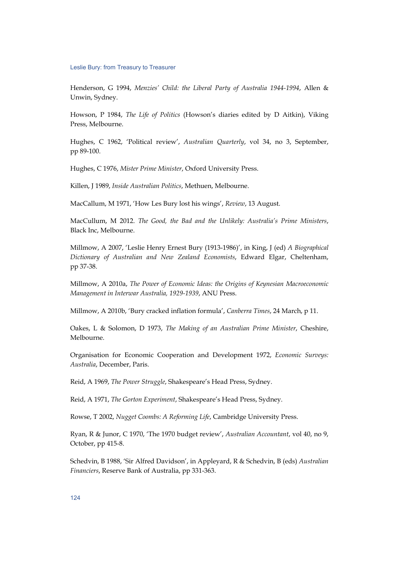Henderson, G 1994, *Menzies' Child: the Liberal Party of Australia 1944-1994*, Allen & Unwin, Sydney.

Howson, P 1984, *The Life of Politics* (Howson's diaries edited by D Aitkin), Viking Press, Melbourne.

Hughes, C 1962, 'Political review', *Australian Quarterly*, vol 34, no 3, September, pp 89-100.

Hughes, C 1976, *Mister Prime Minister*, Oxford University Press.

Killen, J 1989, *Inside Australian Politics*, Methuen, Melbourne.

MacCallum, M 1971, 'How Les Bury lost his wings', *Review*, 13 August.

MacCullum, M 2012. *The Good, the Bad and the Unlikely: Australia's Prime Ministers*, Black Inc, Melbourne.

Millmow, A 2007, 'Leslie Henry Ernest Bury (1913-1986)', in King, J (ed) *A Biographical Dictionary of Australian and New Zealand Economists*, Edward Elgar, Cheltenham, pp 37-38.

Millmow, A 2010a, *The Power of Economic Ideas: the Origins of Keynesian Macroeconomic Management in Interwar Australia, 1929-1939*, ANU Press.

Millmow, A 2010b, 'Bury cracked inflation formula', *Canberra Times*, 24 March, p 11.

Oakes, L & Solomon, D 1973, *The Making of an Australian Prime Minister*, Cheshire, Melbourne.

Organisation for Economic Cooperation and Development 1972, *Economic Surveys: Australia*, December, Paris.

Reid, A 1969, *The Power Struggle*, Shakespeare's Head Press, Sydney.

Reid, A 1971, *The Gorton Experiment*, Shakespeare's Head Press, Sydney.

Rowse, T 2002, *Nugget Coombs: A Reforming Life*, Cambridge University Press.

Ryan, R & Junor, C 1970, 'The 1970 budget review', *Australian Accountant*, vol 40, no 9, October, pp 415-8.

Schedvin, B 1988, 'Sir Alfred Davidson', in Appleyard, R & Schedvin, B (eds) *Australian Financiers*, Reserve Bank of Australia, pp 331-363.